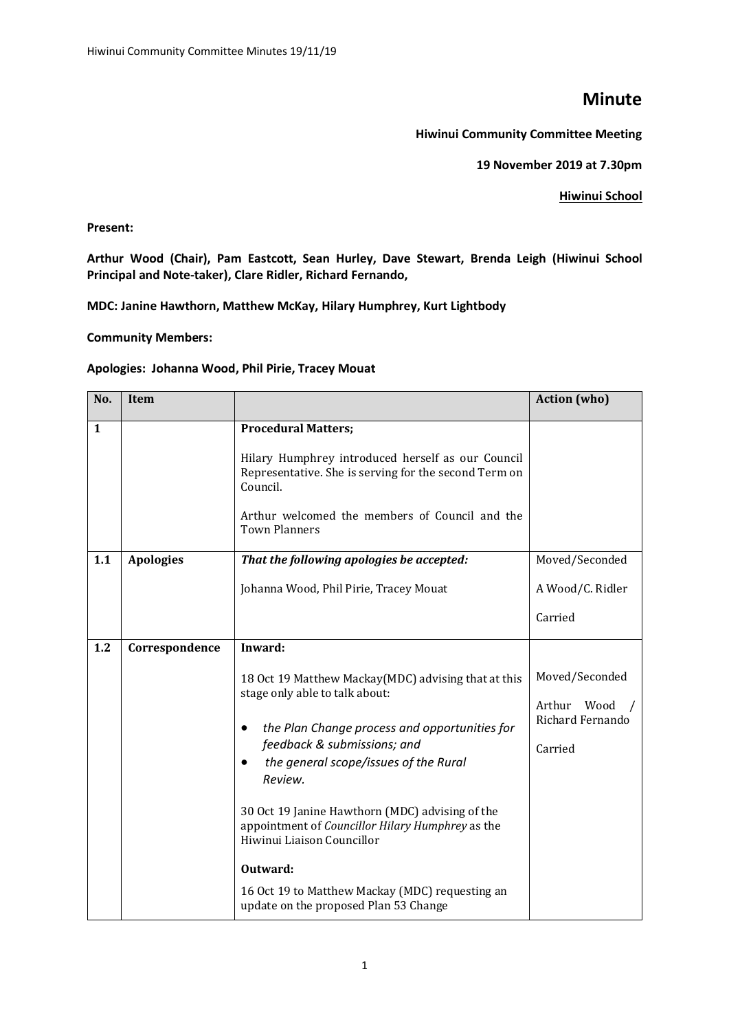## **Minute**

**Hiwinui Community Committee Meeting**

**19 November 2019 at 7.30pm** 

## **Hiwinui School**

**Present:**

**Arthur Wood (Chair), Pam Eastcott, Sean Hurley, Dave Stewart, Brenda Leigh (Hiwinui School Principal and Note-taker), Clare Ridler, Richard Fernando,**

**MDC: Janine Hawthorn, Matthew McKay, Hilary Humphrey, Kurt Lightbody**

**Community Members:**

## **Apologies: Johanna Wood, Phil Pirie, Tracey Mouat**

| No. | Item             |                                                                                                                                                                                                                                                                                                                                                                                                                                                                                   | <b>Action</b> (who)                                          |
|-----|------------------|-----------------------------------------------------------------------------------------------------------------------------------------------------------------------------------------------------------------------------------------------------------------------------------------------------------------------------------------------------------------------------------------------------------------------------------------------------------------------------------|--------------------------------------------------------------|
| 1   |                  | <b>Procedural Matters;</b><br>Hilary Humphrey introduced herself as our Council<br>Representative. She is serving for the second Term on<br>Council.<br>Arthur welcomed the members of Council and the<br><b>Town Planners</b>                                                                                                                                                                                                                                                    |                                                              |
| 1.1 | <b>Apologies</b> | That the following apologies be accepted:<br>Johanna Wood, Phil Pirie, Tracey Mouat                                                                                                                                                                                                                                                                                                                                                                                               | Moved/Seconded<br>A Wood/C. Ridler<br>Carried                |
| 1.2 | Correspondence   | Inward:<br>18 Oct 19 Matthew Mackay(MDC) advising that at this<br>stage only able to talk about:<br>the Plan Change process and opportunities for<br>feedback & submissions; and<br>the general scope/issues of the Rural<br>Review.<br>30 Oct 19 Janine Hawthorn (MDC) advising of the<br>appointment of Councillor Hilary Humphrey as the<br>Hiwinui Liaison Councillor<br>Outward:<br>16 Oct 19 to Matthew Mackay (MDC) requesting an<br>update on the proposed Plan 53 Change | Moved/Seconded<br>Arthur Wood<br>Richard Fernando<br>Carried |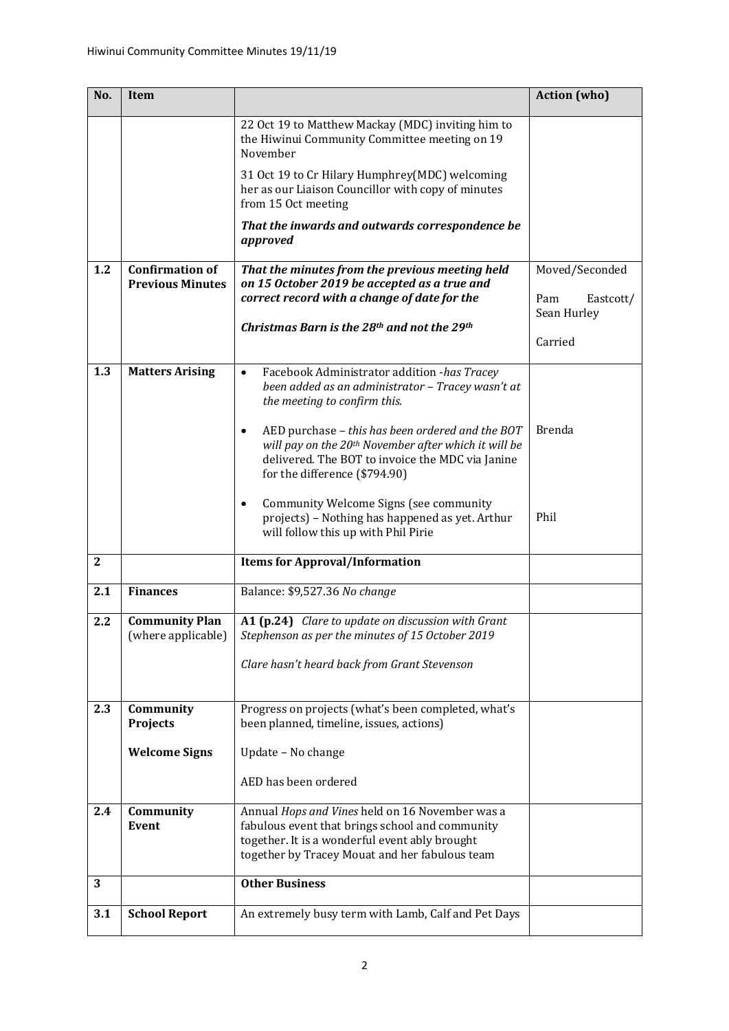| No.          | <b>Item</b>                                       |                                                                                                                                                                                                           | <b>Action</b> (who)                |
|--------------|---------------------------------------------------|-----------------------------------------------------------------------------------------------------------------------------------------------------------------------------------------------------------|------------------------------------|
|              |                                                   | 22 Oct 19 to Matthew Mackay (MDC) inviting him to<br>the Hiwinui Community Committee meeting on 19<br>November                                                                                            |                                    |
|              |                                                   | 31 Oct 19 to Cr Hilary Humphrey(MDC) welcoming<br>her as our Liaison Councillor with copy of minutes<br>from 15 Oct meeting                                                                               |                                    |
|              |                                                   | That the inwards and outwards correspondence be<br>approved                                                                                                                                               |                                    |
| 1.2          | <b>Confirmation of</b><br><b>Previous Minutes</b> | That the minutes from the previous meeting held<br>on 15 October 2019 be accepted as a true and<br>correct record with a change of date for the                                                           | Moved/Seconded<br>Pam<br>Eastcott/ |
|              |                                                   | Christmas Barn is the 28th and not the 29th                                                                                                                                                               | Sean Hurley                        |
|              |                                                   |                                                                                                                                                                                                           | Carried                            |
| 1.3          | <b>Matters Arising</b>                            | Facebook Administrator addition -has Tracey<br>been added as an administrator - Tracey wasn't at<br>the meeting to confirm this.                                                                          |                                    |
|              |                                                   | AED purchase - this has been ordered and the BOT<br>will pay on the 20 <sup>th</sup> November after which it will be<br>delivered. The BOT to invoice the MDC via Janine<br>for the difference (\$794.90) | <b>Brenda</b>                      |
|              |                                                   | Community Welcome Signs (see community<br>projects) - Nothing has happened as yet. Arthur<br>will follow this up with Phil Pirie                                                                          | Phil                               |
| $\mathbf{2}$ |                                                   | <b>Items for Approval/Information</b>                                                                                                                                                                     |                                    |
| 2.1          | <b>Finances</b>                                   | Balance: \$9,527.36 No change                                                                                                                                                                             |                                    |
| 2.2          | <b>Community Plan</b><br>(where applicable)       | A1 (p.24) Clare to update on discussion with Grant<br>Stephenson as per the minutes of 15 October 2019<br>Clare hasn't heard back from Grant Stevenson                                                    |                                    |
|              |                                                   |                                                                                                                                                                                                           |                                    |
| 2.3          | Community<br><b>Projects</b>                      | Progress on projects (what's been completed, what's<br>been planned, timeline, issues, actions)                                                                                                           |                                    |
|              | <b>Welcome Signs</b>                              | Update - No change                                                                                                                                                                                        |                                    |
|              |                                                   | AED has been ordered                                                                                                                                                                                      |                                    |
| 2.4          | Community<br>Event                                | Annual Hops and Vines held on 16 November was a<br>fabulous event that brings school and community<br>together. It is a wonderful event ably brought<br>together by Tracey Mouat and her fabulous team    |                                    |
| 3            |                                                   | <b>Other Business</b>                                                                                                                                                                                     |                                    |
| 3.1          | <b>School Report</b>                              | An extremely busy term with Lamb, Calf and Pet Days                                                                                                                                                       |                                    |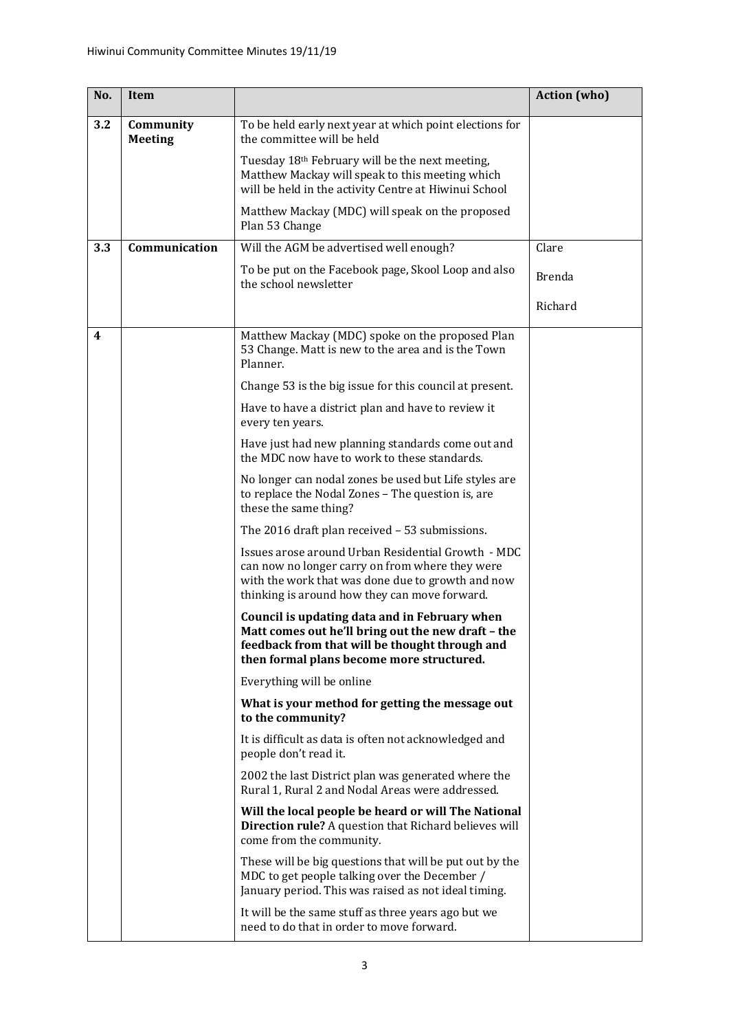| No. | Item                        |                                                                                                                                                                                                             | <b>Action</b> (who) |
|-----|-----------------------------|-------------------------------------------------------------------------------------------------------------------------------------------------------------------------------------------------------------|---------------------|
| 3.2 | Community<br><b>Meeting</b> | To be held early next year at which point elections for<br>the committee will be held                                                                                                                       |                     |
|     |                             | Tuesday 18th February will be the next meeting,<br>Matthew Mackay will speak to this meeting which<br>will be held in the activity Centre at Hiwinui School                                                 |                     |
|     |                             | Matthew Mackay (MDC) will speak on the proposed<br>Plan 53 Change                                                                                                                                           |                     |
| 3.3 | Communication               | Will the AGM be advertised well enough?                                                                                                                                                                     | Clare               |
|     |                             | To be put on the Facebook page, Skool Loop and also<br>the school newsletter                                                                                                                                | <b>Brenda</b>       |
|     |                             |                                                                                                                                                                                                             | Richard             |
| 4   |                             | Matthew Mackay (MDC) spoke on the proposed Plan<br>53 Change. Matt is new to the area and is the Town<br>Planner.                                                                                           |                     |
|     |                             | Change 53 is the big issue for this council at present.                                                                                                                                                     |                     |
|     |                             | Have to have a district plan and have to review it<br>every ten years.                                                                                                                                      |                     |
|     |                             | Have just had new planning standards come out and<br>the MDC now have to work to these standards.                                                                                                           |                     |
|     |                             | No longer can nodal zones be used but Life styles are<br>to replace the Nodal Zones - The question is, are<br>these the same thing?                                                                         |                     |
|     |                             | The 2016 draft plan received - 53 submissions.                                                                                                                                                              |                     |
|     |                             | Issues arose around Urban Residential Growth - MDC<br>can now no longer carry on from where they were<br>with the work that was done due to growth and now<br>thinking is around how they can move forward. |                     |
|     |                             | Council is updating data and in February when<br>Matt comes out he'll bring out the new draft - the<br>feedback from that will be thought through and<br>then formal plans become more structured.          |                     |
|     |                             | Everything will be online                                                                                                                                                                                   |                     |
|     |                             | What is your method for getting the message out<br>to the community?                                                                                                                                        |                     |
|     |                             | It is difficult as data is often not acknowledged and<br>people don't read it.                                                                                                                              |                     |
|     |                             | 2002 the last District plan was generated where the<br>Rural 1, Rural 2 and Nodal Areas were addressed.                                                                                                     |                     |
|     |                             | Will the local people be heard or will The National<br>Direction rule? A question that Richard believes will<br>come from the community.                                                                    |                     |
|     |                             | These will be big questions that will be put out by the<br>MDC to get people talking over the December /<br>January period. This was raised as not ideal timing.                                            |                     |
|     |                             | It will be the same stuff as three years ago but we<br>need to do that in order to move forward.                                                                                                            |                     |